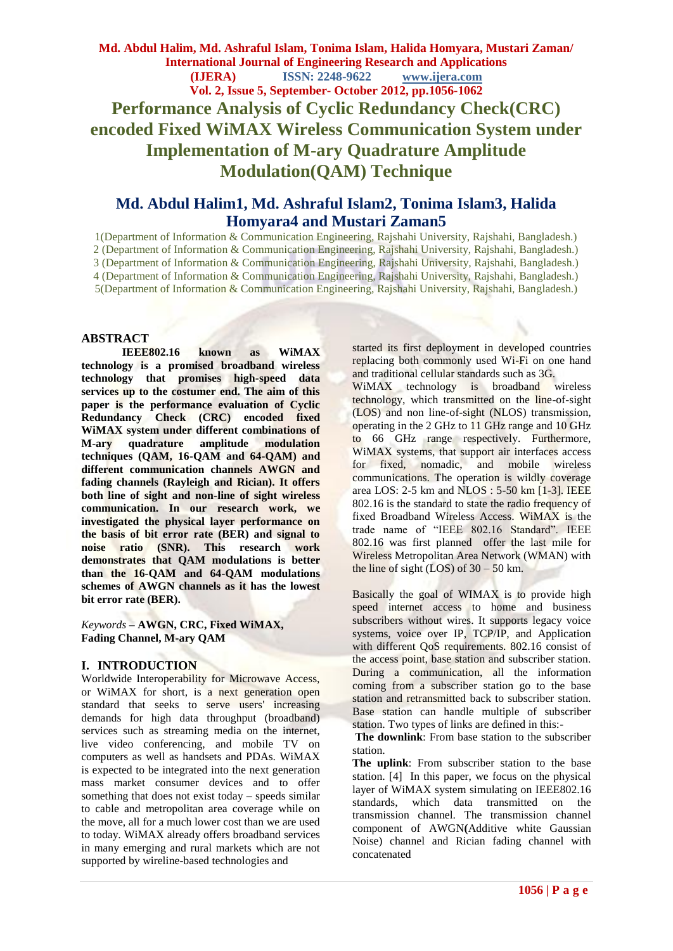**Md. Abdul Halim, Md. Ashraful Islam, Tonima Islam, Halida Homyara, Mustari Zaman/ International Journal of Engineering Research and Applications (IJERA) ISSN: 2248-9622 www.ijera.com Vol. 2, Issue 5, September- October 2012, pp.1056-1062 Performance Analysis of Cyclic Redundancy Check(CRC) encoded Fixed WiMAX Wireless Communication System under Implementation of M-ary Quadrature Amplitude Modulation(QAM) Technique**

# **Md. Abdul Halim1, Md. Ashraful Islam2, Tonima Islam3, Halida Homyara4 and Mustari Zaman5**

1(Department of Information & Communication Engineering, Rajshahi University, Rajshahi, Bangladesh.) 2 (Department of Information & Communication Engineering, Rajshahi University, Rajshahi, Bangladesh.) 3 (Department of Information & Communication Engineering, Rajshahi University, Rajshahi, Bangladesh.) 4 (Department of Information & Communication Engineering, Rajshahi University, Rajshahi, Bangladesh.) 5(Department of Information & Communication Engineering, Rajshahi University, Rajshahi, Bangladesh.)

### **ABSTRACT**

**IEEE802.16 known as WiMAX technology is a promised broadband wireless technology that promises high-speed data services up to the costumer end. The aim of this paper is the performance evaluation of Cyclic Redundancy Check (CRC) encoded fixed WiMAX system under different combinations of M-ary quadrature amplitude modulation techniques (QAM, 16-QAM and 64-QAM) and different communication channels AWGN and fading channels (Rayleigh and Rician). It offers both line of sight and non-line of sight wireless communication. In our research work, we investigated the physical layer performance on the basis of bit error rate (BER) and signal to noise ratio (SNR). This research work demonstrates that QAM modulations is better than the 16-QAM and 64-QAM modulations schemes of AWGN channels as it has the lowest bit error rate (BER).**

*Keywords* **– AWGN, CRC, Fixed WiMAX, Fading Channel, M-ary QAM**

### **I. INTRODUCTION**

Worldwide Interoperability for Microwave Access, or WiMAX for short, is a next generation open standard that seeks to serve users' increasing demands for high data throughput (broadband) services such as streaming media on the internet, live video conferencing, and mobile TV on computers as well as handsets and PDAs. WiMAX is expected to be integrated into the next generation mass market consumer devices and to offer something that does not exist today – speeds similar to cable and metropolitan area coverage while on the move, all for a much lower cost than we are used to today. WiMAX already offers broadband services in many emerging and rural markets which are not supported by wireline-based technologies and

started its first deployment in developed countries replacing both commonly used Wi-Fi on one hand and traditional cellular standards such as 3G. WiMAX technology is broadband wireless technology, which transmitted on the line-of-sight (LOS) and non line-of-sight (NLOS) transmission, operating in the 2 GHz to 11 GHz range and 10 GHz to 66 GHz range respectively. Furthermore, WiMAX systems, that support air interfaces access for fixed, nomadic, and mobile wireless communications. The operation is wildly coverage area LOS: 2-5 km and NLOS : 5-50 km [1-3]. IEEE 802.16 is the standard to state the radio frequency of fixed Broadband Wireless Access. WiMAX is the trade name of "IEEE 802.16 Standard". IEEE 802.16 was first planned offer the last mile for Wireless Metropolitan Area Network (WMAN) with the line of sight  $(LOS)$  of  $30 - 50$  km.

Basically the goal of WIMAX is to provide high speed internet access to home and business subscribers without wires. It supports legacy voice systems, voice over IP, TCP/IP, and Application with different QoS requirements. 802.16 consist of the access point, base station and subscriber station. During a communication, all the information coming from a subscriber station go to the base station and retransmitted back to subscriber station. Base station can handle multiple of subscriber station. Two types of links are defined in this:-

**The downlink**: From base station to the subscriber station.

**The uplink**: From subscriber station to the base station. [4] In this paper, we focus on the physical layer of WiMAX system simulating on IEEE802.16 standards, which data transmitted on the transmission channel. The transmission channel component of AWGN**(**Additive white Gaussian Noise) channel and Rician fading channel with concatenated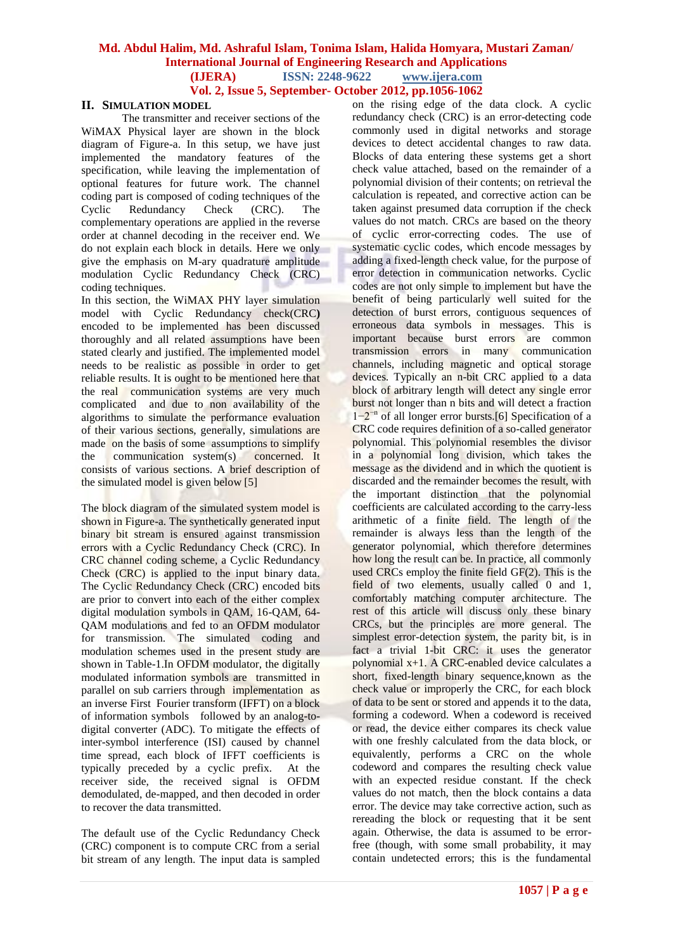# **Md. Abdul Halim, Md. Ashraful Islam, Tonima Islam, Halida Homyara, Mustari Zaman/ International Journal of Engineering Research and Applications (IJERA) ISSN: 2248-9622 www.ijera.com**

# **Vol. 2, Issue 5, September- October 2012, pp.1056-1062**

### **II. SIMULATION MODEL**

The transmitter and receiver sections of the WiMAX Physical layer are shown in the block diagram of Figure-a. In this setup, we have just implemented the mandatory features of the specification, while leaving the implementation of optional features for future work. The channel coding part is composed of coding techniques of the Cyclic Redundancy Check (CRC). The complementary operations are applied in the reverse order at channel decoding in the receiver end. We do not explain each block in details. Here we only give the emphasis on M-ary quadrature amplitude modulation Cyclic Redundancy Check (CRC) coding techniques.

In this section, the WiMAX PHY layer simulation model with Cyclic Redundancy check(CRC) encoded to be implemented has been discussed thoroughly and all related assumptions have been stated clearly and justified. The implemented model needs to be realistic as possible in order to get reliable results. It is ought to be mentioned here that the real communication systems are very much complicated and due to non availability of the algorithms to simulate the performance evaluation of their various sections, generally, simulations are made on the basis of some assumptions to simplify the communication system(s) concerned. It consists of various sections. A brief description of the simulated model is given below [5]

The block diagram of the simulated system model is shown in Figure-a. The synthetically generated input binary bit stream is ensured against transmission errors with a Cyclic Redundancy Check (CRC). In CRC channel coding scheme, a Cyclic Redundancy Check (CRC) is applied to the input binary data. The Cyclic Redundancy Check (CRC) encoded bits are prior to convert into each of the either complex digital modulation symbols in QAM, 16-QAM, 64- QAM modulations and fed to an OFDM modulator for transmission. The simulated coding and modulation schemes used in the present study are shown in Table-1.In OFDM modulator, the digitally modulated information symbols are transmitted in parallel on sub carriers through implementation as an inverse First Fourier transform (IFFT) on a block of information symbols followed by an analog-todigital converter (ADC). To mitigate the effects of inter-symbol interference (ISI) caused by channel time spread, each block of IFFT coefficients is typically preceded by a cyclic prefix. At the receiver side, the received signal is OFDM demodulated, de-mapped, and then decoded in order to recover the data transmitted.

The default use of the Cyclic Redundancy Check (CRC) component is to compute CRC from a serial bit stream of any length. The input data is sampled on the rising edge of the data clock. A cyclic redundancy check (CRC) is an [error-detecting code](http://en.wikipedia.org/wiki/Error_detection_and_correction) commonly used in digital [networks](http://en.wikipedia.org/wiki/Telecommunications_network) and storage devices to detect accidental changes to raw data. Blocks of data entering these systems get a short check value attached, based on the remainder of a [polynomial division](http://en.wikipedia.org/wiki/Polynomial_long_division) of their contents; on retrieval the calculation is repeated, and corrective action can be taken against presumed data corruption if the check values do not match. CRCs are based on the theory of [cyclic](http://en.wikipedia.org/wiki/Cyclic_code) [error-correcting codes.](http://en.wikipedia.org/wiki/Error-correcting_code) The use of [systematic](http://en.wikipedia.org/wiki/Systematic_code) cyclic codes, which encode messages by adding a fixed-length check value, for the purpose of error detection in communication networks. Cyclic codes are not only simple to implement but have the benefit of being particularly well suited for the detection of [burst errors,](http://en.wikipedia.org/wiki/Burst_error) contiguous sequences of erroneous data symbols in messages. This is important because burst errors are common transmission errors in many [communication](http://en.wikipedia.org/wiki/Communication_channel)  [channels,](http://en.wikipedia.org/wiki/Communication_channel) including magnetic and optical storage devices. Typically an n-bit CRC applied to a data block of arbitrary length will detect any single error burst not longer than n bits and will detect a fraction 1−2−n of all longer error bursts.[6] Specification of a CRC code requires definition of a so-called [generator](http://en.wikipedia.org/wiki/Generator_polynomial)  [polynomial.](http://en.wikipedia.org/wiki/Generator_polynomial) This polynomial resembles the [divisor](http://en.wikipedia.org/wiki/Divisor) in a [polynomial long division,](http://en.wikipedia.org/wiki/Polynomial_long_division) which takes the message as the [dividend](http://en.wikipedia.org/wiki/Division_%28mathematics%29) and in which the [quotient](http://en.wikipedia.org/wiki/Quotient) is discarded and the [remainder](http://en.wikipedia.org/wiki/Remainder) becomes the result, with the important distinction that the polynomial [coefficients](http://en.wikipedia.org/wiki/Coefficient) are calculated according to the carry-less arithmetic of a [finite field.](http://en.wikipedia.org/wiki/Finite_field) The length of the remainder is always less than the length of the generator polynomial, which therefore determines how long the result can be. In practice, all commonly used CRCs employ the finite field [GF\(2\).](http://en.wikipedia.org/wiki/GF%282%29) This is the field of two elements, usually called 0 and 1, comfortably matching computer architecture. The rest of this article will discuss only these binary CRCs, but the principles are more general. The simplest error-detection system, the [parity bit,](http://en.wikipedia.org/wiki/Parity_bit) is in fact a trivial 1-bit CRC: it uses the generator polynomial  $x+1$ . A CRC-enabled device calculates a short, fixed-length binary sequence,known as the check value or improperly the CRC, for each block of data to be sent or stored and appends it to the data, forming a codeword. When a codeword is received or read, the device either compares its check value with one freshly calculated from the data block, or equivalently, performs a CRC on the whole codeword and compares the resulting check value with an expected residue constant. If the check values do not match, then the block contains a data error. The device may take corrective action, such as rereading the block or requesting that it be sent again. Otherwise, the data is assumed to be errorfree (though, with some small probability, it may contain undetected errors; this is the fundamental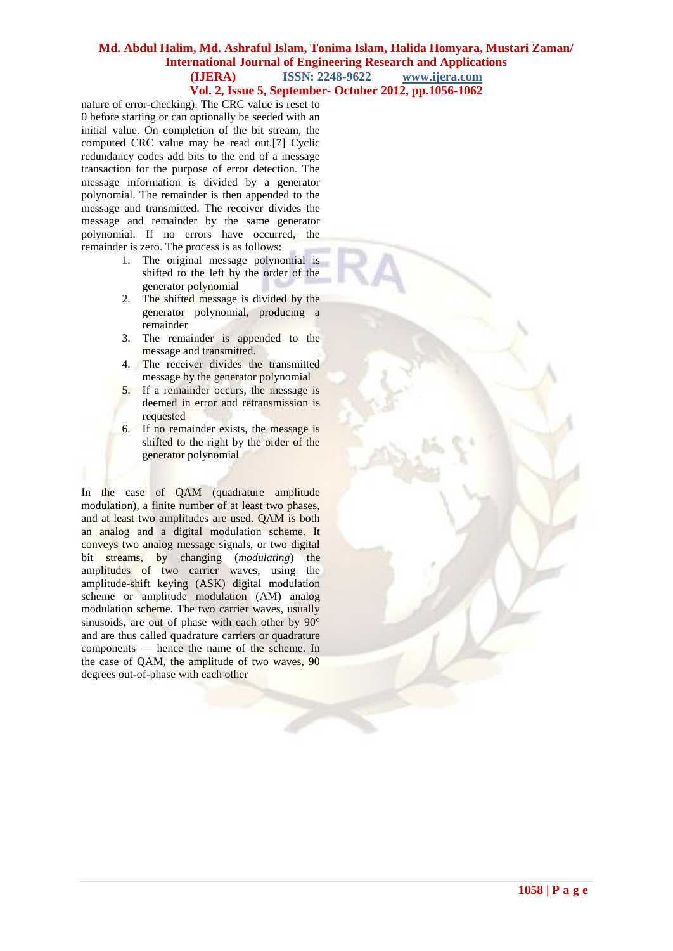nature of error-checking). The CRC value is reset to 0 before starting or can optionally be seeded with an initial value. On completion of the bit stream, the computed CRC value may be read out.[7] Cyclic redundancy codes add bits to the end of a message transaction for the purpose of error detection. The message information is divided by a generator polynomial. The remainder is then appended to the message and transmitted. The receiver divides the message and remainder by the same generator polynomial. If no errors have occurred, the remainder is zero. The process is as follows:

- 1. The original message polynomial is shifted to the left by the order of the generator polynomial
- 2. The shifted message is divided by the generator polynomial, producing a remainder
- 3. The remainder is appended to the message and transmitted.
- 4. The receiver divides the transmitted message by the generator polynomial
- 5. If a remainder occurs, the message is deemed in error and retransmission is requested
- 6. If no remainder exists, the message is shifted to the right by the order of the generator polynomial

In the case of [QAM \(quadrature amplitude](http://en.wikipedia.org/wiki/Quadrature_amplitude_modulation)  [modulation\),](http://en.wikipedia.org/wiki/Quadrature_amplitude_modulation) a finite number of at least two phases, and at least two amplitudes are used. QAM is both an analog and a digital [modulation](http://en.wikipedia.org/wiki/Modulation) scheme. It conveys two analog message signals, or two digital [bit streams,](http://en.wikipedia.org/wiki/Bit_stream) by changing (*modulating*) the [amplitudes](http://en.wikipedia.org/wiki/Amplitude) of two [carrier waves,](http://en.wikipedia.org/wiki/Carrier_wave) using the [amplitude-shift keying](http://en.wikipedia.org/wiki/Amplitude-shift_keying) (ASK) digital modulation scheme or [amplitude modulation](http://en.wikipedia.org/wiki/Amplitude_modulation) (AM) analog modulation scheme. The two carrier waves, usually [sinusoids,](http://en.wikipedia.org/wiki/Sinusoid) are [out of phase](http://en.wikipedia.org/wiki/Out_of_phase) with each other by 9[0°](http://en.wikipedia.org/wiki/Degree_%28angle%29) and are thus called [quadrature](http://en.wikipedia.org/wiki/Quadrature_phase) carriers or quadrature components — hence the name of the scheme. In the case of QAM, the amplitude of two waves, 90 degrees out-of-phase with each other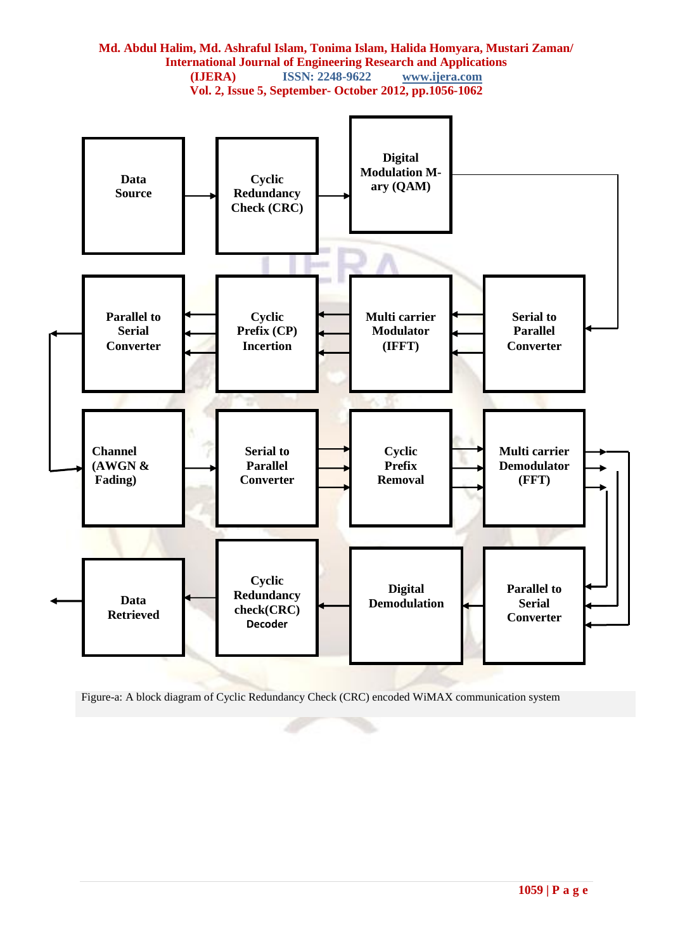

Figure-a: A block diagram of Cyclic Redundancy Check (CRC) encoded WiMAX communication system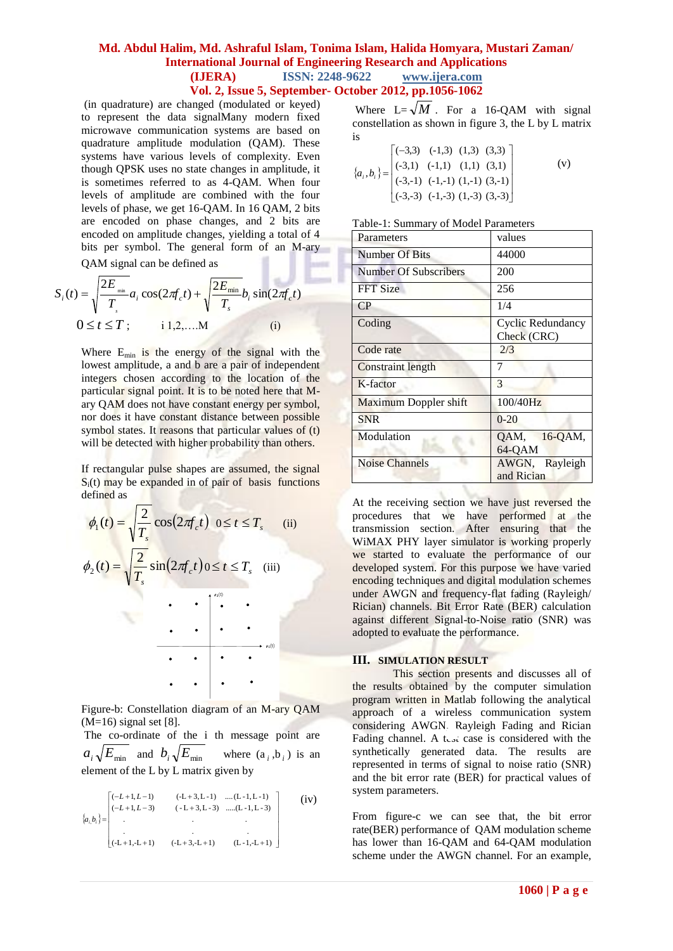(in quadrature) are changed (modulated or keyed) to represent the data signalMany modern fixed microwave communication systems are based on quadrature amplitude modulation (QAM). These systems have various levels of complexity. Even though QPSK uses no state changes in amplitude, it is sometimes referred to as 4-QAM. When four levels of amplitude are combined with the four levels of phase, we get 16-QAM. In 16 QAM, 2 bits are encoded on phase changes, and 2 bits are encoded on amplitude changes, yielding a total of 4 bits per symbol. The general form of an M-ary

QAM signal can be defined as

$$
S_i(t) = \sqrt{\frac{2E_{\min}}{T_s}} a_i \cos(2\pi f_c t) + \sqrt{\frac{2E_{\min}}{T_s}} b_i \sin(2\pi f_c t)
$$
  
0 \le t \le T ; \t\t i 1,2,...M \t\t\t (i)

Where  $E_{\text{min}}$  is the energy of the signal with the lowest amplitude, a and b are a pair of independent integers chosen according to the location of the particular signal point. It is to be noted here that Mary QAM does not have constant energy per symbol, nor does it have constant distance between possible symbol states. It reasons that particular values of (t) will be detected with higher probability than others.

If rectangular pulse shapes are assumed, the signal  $S_i(t)$  may be expanded in of pair of basis functions defined as

$$
\phi_1(t) = \sqrt{\frac{2}{T_s}} \cos(2\pi f_c t) \quad 0 \le t \le T_s \quad \text{(ii)}
$$
\n
$$
\phi_2(t) = \sqrt{\frac{2}{T_s}} \sin(2\pi f_c t) \quad 0 \le t \le T_s \quad \text{(iii)}
$$

Figure-b: Constellation diagram of an M-ary QAM  $(M=16)$  signal set [8].

The co-ordinate of the i th message point are  $a_i \sqrt{E_{\min}}$  and  $b_i \sqrt{E_{\min}}$ where  $(a_i, b_i)$  is an element of the L by L matrix given by

$$
\left\{a_i, b_i\right\} = \begin{bmatrix}\n(-L+1, L-1) & (-L+3, L-1) & \dots (L-1, L-1) \\
(-L+1, L-3) & (-L+3, L-3) & \dots (L-1, L-3) \\
\vdots & \vdots & \ddots & \vdots \\
(-L+1, L+1) & (-L+3, L+1) & (L-1, L+1)\n\end{bmatrix}
$$
\n(iv)

Where  $L = \sqrt{M}$ . For a 16-QAM with signal constellation as shown in figure 3, the L by L matrix is

$$
\{a_i, b_i\} = \begin{bmatrix} (-3,3) & (-1,3) & (1,3) & (3,3) \\ (-3,1) & (-1,1) & (1,1) & (3,1) \\ (-3,-1) & (-1,-1) & (1,-1) & (3,-1) \\ (-3,-3) & (-1,-3) & (1,-3) & (3,-3) \end{bmatrix}
$$
 (v)

| Parameters                   | values                           |
|------------------------------|----------------------------------|
| Number Of Bits               | 44000                            |
| Number Of Subscribers        | 200                              |
| <b>FFT Size</b>              | 256                              |
| CP                           | 1/4                              |
| Coding                       | Cyclic Redundancy<br>Check (CRC) |
| Code rate                    | 2/3                              |
| <b>Constraint length</b>     | 7                                |
| K-factor                     | 3                                |
| <b>Maximum Doppler shift</b> | 100/40Hz                         |
| <b>SNR</b>                   | $0 - 20$                         |
| Modulation                   | QAM, 16-QAM,<br>64-QAM           |
| <b>Noise Channels</b>        | AWGN.<br>Rayleigh<br>and Rician  |

At the receiving section we have just reversed the procedures that we have performed at the transmission section. After ensuring that the WiMAX PHY layer simulator is working properly we started to evaluate the performance of our developed system. For this purpose we have varied encoding techniques and digital modulation schemes under AWGN and frequency-flat fading (Rayleigh/ Rician) channels. Bit Error Rate (BER) calculation against different Signal-to-Noise ratio (SNR) was adopted to evaluate the performance.

#### **III. SIMULATION RESULT**

This section presents and discusses all of the results obtained by the computer simulation program written in Matlab following the analytical approach of a wireless communication system considering AWGN, Rayleigh Fading and Rician Fading channel. A test case is considered with the synthetically generated data. The results are represented in terms of signal to noise ratio (SNR) and the bit error rate (BER) for practical values of system parameters.

From figure-c we can see that, the bit error rate(BER) performance of QAM modulation scheme has lower than 16-QAM and 64-QAM modulation scheme under the AWGN channel. For an example,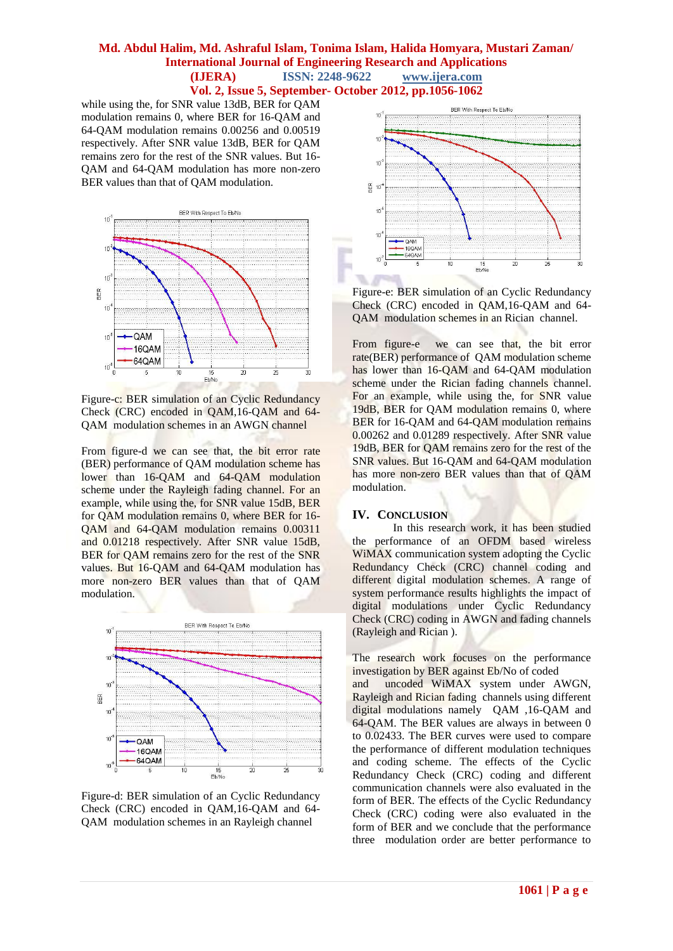while using the, for SNR value 13dB, BER for QAM modulation remains 0, where BER for 16-QAM and 64-QAM modulation remains 0.00256 and 0.00519 respectively. After SNR value 13dB, BER for QAM remains zero for the rest of the SNR values. But 16- QAM and 64-QAM modulation has more non-zero BER values than that of QAM modulation.



Figure-c: BER simulation of an Cyclic Redundancy Check (CRC) encoded in QAM,16-QAM and 64- QAM modulation schemes in an AWGN channel

From figure-d we can see that, the bit error rate (BER) performance of QAM modulation scheme has lower than 16-QAM and 64-QAM modulation scheme under the Rayleigh fading channel. For an example, while using the, for SNR value 15dB, BER for QAM modulation remains 0, where BER for 16- QAM and 64-QAM modulation remains 0.00311 and 0.01218 respectively. After SNR value 15dB, BER for QAM remains zero for the rest of the SNR values. But 16-QAM and 64-QAM modulation has more non-zero BER values than that of QAM modulation.



Figure-d: BER simulation of an Cyclic Redundancy Check (CRC) encoded in QAM,16-QAM and 64- QAM modulation schemes in an Rayleigh channel



Figure-e: BER simulation of an Cyclic Redundancy Check (CRC) encoded in QAM,16-QAM and 64- QAM modulation schemes in an Rician channel.

From figure-e we can see that, the bit error rate(BER) performance of QAM modulation scheme has lower than 16-QAM and 64-QAM modulation scheme under the Rician fading channels channel. For an example, while using the, for SNR value 19dB, BER for QAM modulation remains 0, where BER for 16-QAM and 64-QAM modulation remains 0.00262 and 0.01289 respectively. After SNR value 19dB, BER for QAM remains zero for the rest of the SNR values. But 16-QAM and 64-QAM modulation has more non-zero BER values than that of QAM modulation.

#### **IV. CONCLUSION**

In this research work, it has been studied the performance of an OFDM based wireless WiMAX communication system adopting the Cyclic Redundancy Check (CRC) channel coding and different digital modulation schemes. A range of system performance results highlights the impact of digital modulations under Cyclic Redundancy Check (CRC) coding in AWGN and fading channels (Rayleigh and Rician ).

The research work focuses on the performance investigation by BER against Eb/No of coded

and uncoded WiMAX system under AWGN, Rayleigh and Rician fading channels using different digital modulations namely QAM ,16-QAM and 64-QAM. The BER values are always in between 0 to 0.02433. The BER curves were used to compare the performance of different modulation techniques and coding scheme. The effects of the Cyclic Redundancy Check (CRC) coding and different communication channels were also evaluated in the form of BER. The effects of the Cyclic Redundancy Check (CRC) coding were also evaluated in the form of BER and we conclude that the performance three modulation order are better performance to